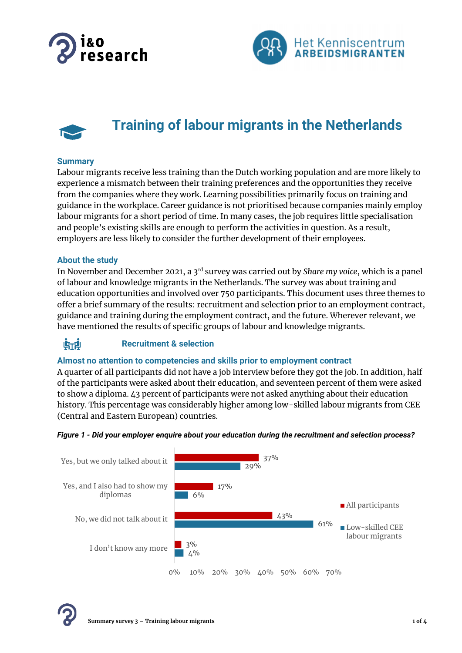





# **Training of labour migrants in the Netherlands**

# **Summary**

Labour migrants receive less training than the Dutch working population and are more likely to experience a mismatch between their training preferences and the opportunities they receive from the companies where they work. Learning possibilities primarily focus on training and guidance in the workplace. Career guidance is not prioritised because companies mainly employ labour migrants for a short period of time. In many cases, the job requires little specialisation and people's existing skills are enough to perform the activities in question. As a result, employers are less likely to consider the further development of their employees.

# **About the study**

In November and December 2021, a 3rd survey was carried out by *Share my voice*, which is a panel of labour and knowledge migrants in the Netherlands. The survey was about training and education opportunities and involved over 750 participants. This document uses three themes to offer a brief summary of the results: recruitment and selection prior to an employment contract, guidance and training during the employment contract, and the future. Wherever relevant, we have mentioned the results of specific groups of labour and knowledge migrants.

#### 临前 **Recruitment & selection**

# **Almost no attention to competencies and skills prior to employment contract**

A quarter of all participants did not have a job interview before they got the job. In addition, half of the participants were asked about their education, and seventeen percent of them were asked to show a diploma. 43 percent of participants were not asked anything about their education history. This percentage was considerably higher among low-skilled labour migrants from CEE (Central and Eastern European) countries.



## *Figure 1 - Did your employer enquire about your education during the recruitment and selection process?*

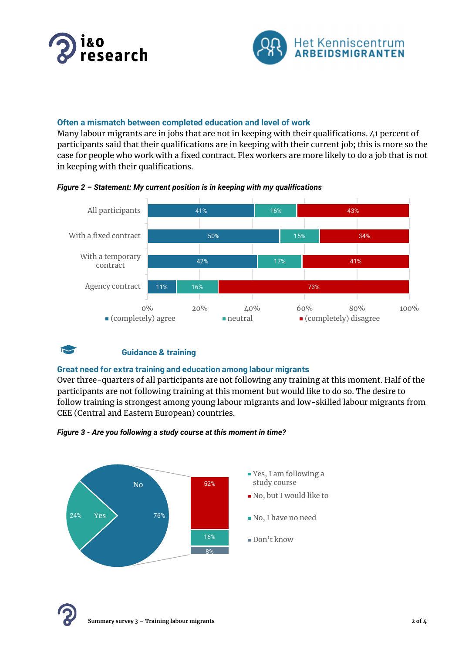



# **Often a mismatch between completed education and level of work**

Many labour migrants are in jobs that are not in keeping with their qualifications. 41 percent of participants said that their qualifications are in keeping with their current job; this is more so the case for people who work with a fixed contract. Flex workers are more likely to do a job that is not in keeping with their qualifications.







### **Guidance & training**

## **Great need for extra training and education among labour migrants**

Over three-quarters of all participants are not following any training at this moment. Half of the participants are not following training at this moment but would like to do so. The desire to follow training is strongest among young labour migrants and low-skilled labour migrants from CEE (Central and Eastern European) countries.





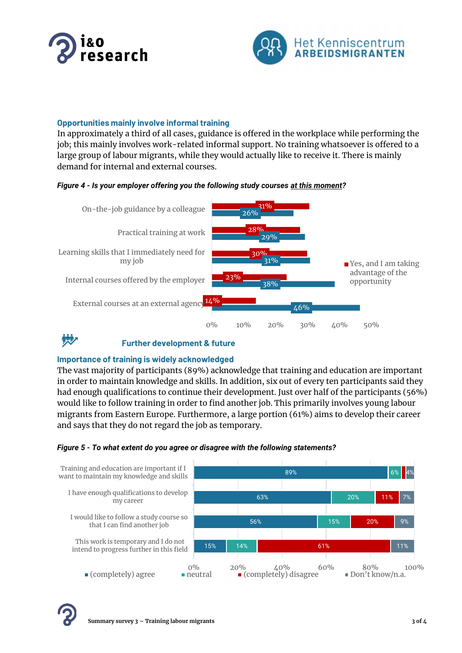



# **Opportunities mainly involve informal training**

In approximately a third of all cases, guidance is offered in the workplace while performing the job; this mainly involves work-related informal support. No training whatsoever is offered to a large group of labour migrants, while they would actually like to receive it. There is mainly demand for internal and external courses.





#### **MAP Further development & future**

# **Importance of training is widely acknowledged**

The vast majority of participants (89%) acknowledge that training and education are important in order to maintain knowledge and skills. In addition, six out of every ten participants said they had enough qualifications to continue their development. Just over half of the participants (56%) would like to follow training in order to find another job. This primarily involves young labour migrants from Eastern Europe. Furthermore, a large portion (61%) aims to develop their career and says that they do not regard the job as temporary.